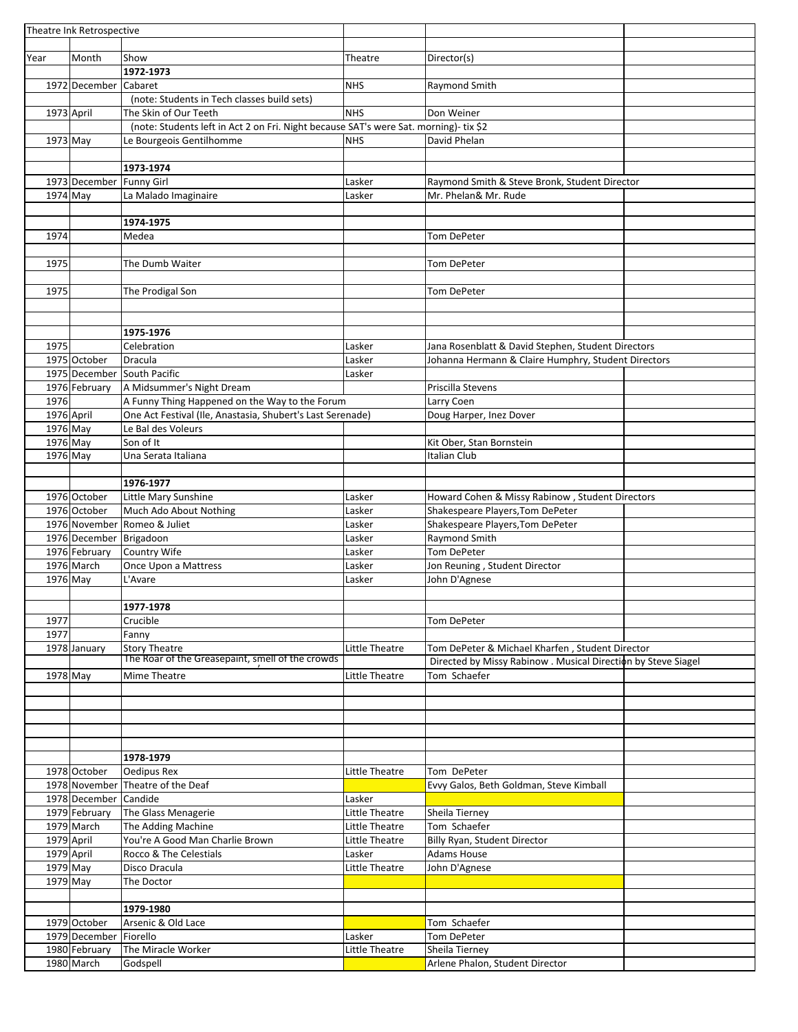| Theatre Ink Retrospective |                             |                                                                                       |                |                                                               |  |
|---------------------------|-----------------------------|---------------------------------------------------------------------------------------|----------------|---------------------------------------------------------------|--|
|                           |                             |                                                                                       |                |                                                               |  |
| Year                      | Month                       | Show                                                                                  | Theatre        | Director(s)                                                   |  |
|                           |                             | 1972-1973                                                                             |                |                                                               |  |
|                           | 1972 December               | Cabaret                                                                               | <b>NHS</b>     | Raymond Smith                                                 |  |
|                           |                             | (note: Students in Tech classes build sets)                                           |                |                                                               |  |
|                           |                             |                                                                                       |                |                                                               |  |
| 1973 April                |                             | The Skin of Our Teeth                                                                 | <b>NHS</b>     | Don Weiner                                                    |  |
|                           |                             | (note: Students left in Act 2 on Fri. Night because SAT's were Sat. morning)- tix \$2 |                |                                                               |  |
| 1973 May                  |                             | Le Bourgeois Gentilhomme                                                              | <b>NHS</b>     | David Phelan                                                  |  |
|                           |                             |                                                                                       |                |                                                               |  |
|                           |                             | 1973-1974                                                                             |                |                                                               |  |
|                           | 1973 December Funny Girl    |                                                                                       | Lasker         | Raymond Smith & Steve Bronk, Student Director                 |  |
| 1974 May                  |                             | La Malado Imaginaire                                                                  | Lasker         | Mr. Phelan& Mr. Rude                                          |  |
|                           |                             |                                                                                       |                |                                                               |  |
|                           |                             | 1974-1975                                                                             |                |                                                               |  |
| 1974                      |                             | Medea                                                                                 |                | Tom DePeter                                                   |  |
|                           |                             |                                                                                       |                |                                                               |  |
|                           |                             |                                                                                       |                |                                                               |  |
| 1975                      |                             | The Dumb Waiter                                                                       |                | Tom DePeter                                                   |  |
|                           |                             |                                                                                       |                |                                                               |  |
| 1975                      |                             | The Prodigal Son                                                                      |                | Tom DePeter                                                   |  |
|                           |                             |                                                                                       |                |                                                               |  |
|                           |                             |                                                                                       |                |                                                               |  |
|                           |                             | 1975-1976                                                                             |                |                                                               |  |
| 1975                      |                             | Celebration                                                                           | Lasker         | Jana Rosenblatt & David Stephen, Student Directors            |  |
|                           | 1975 October                | Dracula                                                                               | Lasker         | Johanna Hermann & Claire Humphry, Student Directors           |  |
|                           |                             | 1975 December South Pacific                                                           | Lasker         |                                                               |  |
|                           |                             |                                                                                       |                | Priscilla Stevens                                             |  |
|                           | 1976 February               | A Midsummer's Night Dream                                                             |                |                                                               |  |
| 1976                      |                             | A Funny Thing Happened on the Way to the Forum                                        |                | Larry Coen                                                    |  |
| 1976 April                |                             | One Act Festival (Ile, Anastasia, Shubert's Last Serenade)                            |                | Doug Harper, Inez Dover                                       |  |
| 1976 May                  |                             | Le Bal des Voleurs                                                                    |                |                                                               |  |
| $1976$ May                |                             | Son of It                                                                             |                | Kit Ober, Stan Bornstein                                      |  |
| 1976 May                  |                             | Una Serata Italiana                                                                   |                | Italian Club                                                  |  |
|                           |                             |                                                                                       |                |                                                               |  |
|                           |                             | 1976-1977                                                                             |                |                                                               |  |
|                           | 1976 October                | Little Mary Sunshine                                                                  | Lasker         | Howard Cohen & Missy Rabinow, Student Directors               |  |
|                           | 1976 October                | Much Ado About Nothing                                                                | Lasker         | Shakespeare Players, Tom DePeter                              |  |
|                           |                             | 1976 November Romeo & Juliet                                                          | Lasker         | Shakespeare Players, Tom DePeter                              |  |
|                           |                             |                                                                                       |                |                                                               |  |
|                           | 1976 December Brigadoon     |                                                                                       | Lasker         | Raymond Smith                                                 |  |
|                           | 1976 February               | Country Wife                                                                          | Lasker         | <b>Tom DePeter</b>                                            |  |
|                           |                             |                                                                                       | Lasker         | Jon Reuning, Student Director                                 |  |
|                           | 1976 March                  | Once Upon a Mattress                                                                  |                |                                                               |  |
| 1976 May                  |                             | L'Avare                                                                               | Lasker         | John D'Agnese                                                 |  |
|                           |                             |                                                                                       |                |                                                               |  |
|                           |                             |                                                                                       |                |                                                               |  |
| 1977                      |                             | 1977-1978<br>Crucible                                                                 |                |                                                               |  |
|                           |                             |                                                                                       |                | Tom DePeter                                                   |  |
| 1977                      |                             | Fanny                                                                                 |                |                                                               |  |
|                           | 1978 January                | <b>Story Theatre</b>                                                                  | Little Theatre | Tom DePeter & Michael Kharfen, Student Director               |  |
|                           |                             | The Roar of the Greasepaint, smell of the crowds                                      |                | Directed by Missy Rabinow . Musical Direction by Steve Siagel |  |
| 1978 May                  |                             | Mime Theatre                                                                          | Little Theatre | Tom Schaefer                                                  |  |
|                           |                             |                                                                                       |                |                                                               |  |
|                           |                             |                                                                                       |                |                                                               |  |
|                           |                             |                                                                                       |                |                                                               |  |
|                           |                             |                                                                                       |                |                                                               |  |
|                           |                             |                                                                                       |                |                                                               |  |
|                           |                             | 1978-1979                                                                             |                |                                                               |  |
|                           | 1978 October                | Oedipus Rex                                                                           | Little Theatre | Tom DePeter                                                   |  |
|                           | 1978 November               | Theatre of the Deaf                                                                   |                | Evvy Galos, Beth Goldman, Steve Kimball                       |  |
|                           |                             |                                                                                       |                |                                                               |  |
|                           | 1978 December Candide       |                                                                                       | Lasker         |                                                               |  |
|                           | 1979 February               | The Glass Menagerie                                                                   | Little Theatre | Sheila Tierney                                                |  |
|                           | 1979 March                  | The Adding Machine                                                                    | Little Theatre | Tom Schaefer                                                  |  |
| 1979 April                |                             | You're A Good Man Charlie Brown                                                       | Little Theatre | Billy Ryan, Student Director                                  |  |
| 1979 April                |                             | Rocco & The Celestials                                                                | Lasker         | Adams House                                                   |  |
| $1979$ May                |                             | Disco Dracula                                                                         | Little Theatre | John D'Agnese                                                 |  |
| 1979 May                  |                             | The Doctor                                                                            |                |                                                               |  |
|                           |                             |                                                                                       |                |                                                               |  |
|                           |                             | 1979-1980                                                                             |                |                                                               |  |
|                           | 1979 October                | Arsenic & Old Lace                                                                    |                | Tom Schaefer                                                  |  |
|                           | 1979 December               | Fiorello                                                                              | Lasker         | Tom DePeter                                                   |  |
|                           |                             |                                                                                       |                |                                                               |  |
|                           | 1980 February<br>1980 March | The Miracle Worker<br>Godspell                                                        | Little Theatre | Sheila Tierney<br>Arlene Phalon, Student Director             |  |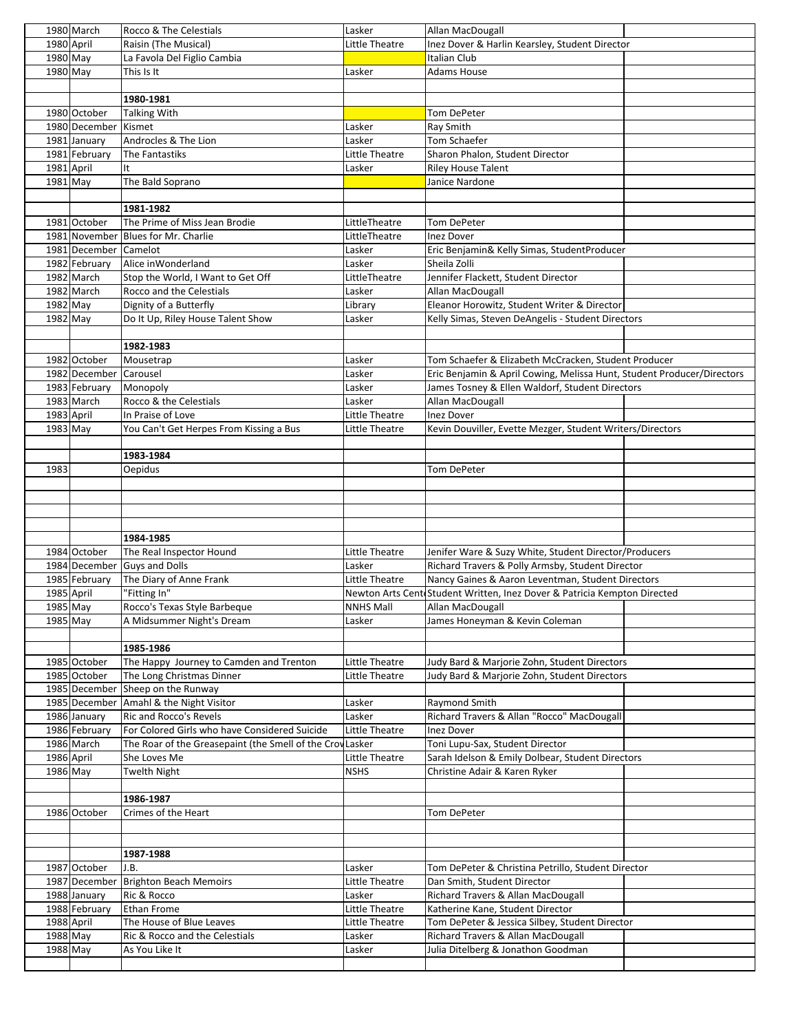|            | 1980 March            | Rocco & The Celestials                                    | Lasker           | Allan MacDougall                                                          |  |
|------------|-----------------------|-----------------------------------------------------------|------------------|---------------------------------------------------------------------------|--|
|            | 1980 April            | Raisin (The Musical)                                      | Little Theatre   | Inez Dover & Harlin Kearsley, Student Director                            |  |
| 1980 May   |                       | La Favola Del Figlio Cambia                               |                  | Italian Club                                                              |  |
| 1980 May   |                       | This Is It                                                | Lasker           | Adams House                                                               |  |
|            |                       |                                                           |                  |                                                                           |  |
|            |                       | 1980-1981                                                 |                  |                                                                           |  |
|            | 1980 October          | Talking With                                              |                  | <b>Tom DePeter</b>                                                        |  |
|            | 1980 December Kismet  |                                                           | Lasker           | Ray Smith                                                                 |  |
|            | 1981 January          | Androcles & The Lion                                      | Lasker           | Tom Schaefer                                                              |  |
|            | 1981 February         | The Fantastiks                                            | Little Theatre   | Sharon Phalon, Student Director                                           |  |
| 1981 April |                       | It                                                        | Lasker           | <b>Riley House Talent</b>                                                 |  |
| $1981$ May |                       | The Bald Soprano                                          |                  | Janice Nardone                                                            |  |
|            |                       |                                                           |                  |                                                                           |  |
|            |                       | 1981-1982                                                 |                  |                                                                           |  |
|            | 1981 October          | The Prime of Miss Jean Brodie                             | LittleTheatre    | <b>Tom DePeter</b>                                                        |  |
|            |                       | 1981 November Blues for Mr. Charlie                       | LittleTheatre    | <b>Inez Dover</b>                                                         |  |
|            | 1981 December Camelot |                                                           | Lasker           | Eric Benjamin& Kelly Simas, StudentProducer                               |  |
|            | 1982 February         | Alice inWonderland                                        | Lasker           | Sheila Zolli                                                              |  |
|            | 1982 March            | Stop the World, I Want to Get Off                         | LittleTheatre    | Jennifer Flackett, Student Director                                       |  |
|            | 1982 March            | Rocco and the Celestials                                  | Lasker           | Allan MacDougall                                                          |  |
| 1982 May   |                       | Dignity of a Butterfly                                    | Library          | Eleanor Horowitz, Student Writer & Director                               |  |
| $1982$ May |                       | Do It Up, Riley House Talent Show                         | Lasker           | Kelly Simas, Steven DeAngelis - Student Directors                         |  |
|            |                       |                                                           |                  |                                                                           |  |
|            |                       | 1982-1983                                                 |                  |                                                                           |  |
|            | 1982 October          |                                                           |                  | Tom Schaefer & Elizabeth McCracken, Student Producer                      |  |
|            |                       | Mousetrap                                                 | Lasker           |                                                                           |  |
|            | 1982 December         | Carousel                                                  | Lasker           | Eric Benjamin & April Cowing, Melissa Hunt, Student Producer/Directors    |  |
|            | 1983 February         | Monopoly                                                  | Lasker           | James Tosney & Ellen Waldorf, Student Directors                           |  |
|            | 1983 March            | Rocco & the Celestials                                    | Lasker           | Allan MacDougall                                                          |  |
| 1983 April |                       | In Praise of Love                                         | Little Theatre   | <b>Inez Dover</b>                                                         |  |
| $1983$ May |                       | You Can't Get Herpes From Kissing a Bus                   | Little Theatre   | Kevin Douviller, Evette Mezger, Student Writers/Directors                 |  |
|            |                       |                                                           |                  |                                                                           |  |
|            |                       | 1983-1984                                                 |                  |                                                                           |  |
| 1983       |                       | <b>Oepidus</b>                                            |                  | <b>Tom DePeter</b>                                                        |  |
|            |                       |                                                           |                  |                                                                           |  |
|            |                       |                                                           |                  |                                                                           |  |
|            |                       |                                                           |                  |                                                                           |  |
|            |                       |                                                           |                  |                                                                           |  |
|            |                       | 1984-1985                                                 |                  |                                                                           |  |
|            | 1984 October          | The Real Inspector Hound                                  | Little Theatre   | Jenifer Ware & Suzy White, Student Director/Producers                     |  |
|            |                       | 1984 December Guys and Dolls                              | Lasker           | Richard Travers & Polly Armsby, Student Director                          |  |
|            |                       |                                                           |                  |                                                                           |  |
|            | 1985 February         | The Diary of Anne Frank                                   | Little Theatre   | Nancy Gaines & Aaron Leventman, Student Directors                         |  |
| 1985 April |                       | "Fitting In"                                              |                  | Newton Arts Cente Student Written, Inez Dover & Patricia Kempton Directed |  |
| 1985 May   |                       | Rocco's Texas Style Barbeque                              | <b>NNHS Mall</b> | Allan MacDougall                                                          |  |
| 1985 May   |                       | A Midsummer Night's Dream                                 | Lasker           | James Honeyman & Kevin Coleman                                            |  |
|            |                       |                                                           |                  |                                                                           |  |
|            |                       | 1985-1986                                                 |                  |                                                                           |  |
|            | 1985 October          | The Happy Journey to Camden and Trenton                   | Little Theatre   | Judy Bard & Marjorie Zohn, Student Directors                              |  |
|            | 1985 October          | The Long Christmas Dinner                                 | Little Theatre   | Judy Bard & Marjorie Zohn, Student Directors                              |  |
|            |                       | 1985 December Sheep on the Runway                         |                  |                                                                           |  |
|            |                       | 1985 December Amahl & the Night Visitor                   | Lasker           | Raymond Smith                                                             |  |
|            | 1986 January          | Ric and Rocco's Revels                                    | Lasker           | Richard Travers & Allan "Rocco" MacDougall                                |  |
|            | 1986 February         | For Colored Girls who have Considered Suicide             | Little Theatre   | <b>Inez Dover</b>                                                         |  |
|            | 1986 March            | The Roar of the Greasepaint (the Smell of the Croy Lasker |                  | Toni Lupu-Sax, Student Director                                           |  |
| 1986 April |                       | She Loves Me                                              | Little Theatre   | Sarah Idelson & Emily Dolbear, Student Directors                          |  |
| 1986 May   |                       | <b>Twelth Night</b>                                       | <b>NSHS</b>      | Christine Adair & Karen Ryker                                             |  |
|            |                       |                                                           |                  |                                                                           |  |
|            |                       | 1986-1987                                                 |                  |                                                                           |  |
|            | 1986 October          | Crimes of the Heart                                       |                  | Tom DePeter                                                               |  |
|            |                       |                                                           |                  |                                                                           |  |
|            |                       |                                                           |                  |                                                                           |  |
|            |                       | 1987-1988                                                 |                  |                                                                           |  |
|            | 1987 October          | J.B.                                                      | Lasker           | Tom DePeter & Christina Petrillo, Student Director                        |  |
|            |                       | 1987 December   Brighton Beach Memoirs                    | Little Theatre   | Dan Smith, Student Director                                               |  |
|            | 1988 January          | Ric & Rocco                                               | Lasker           | Richard Travers & Allan MacDougall                                        |  |
|            | 1988 February         | Ethan Frome                                               | Little Theatre   | Katherine Kane, Student Director                                          |  |
| 1988 April |                       | The House of Blue Leaves                                  | Little Theatre   | Tom DePeter & Jessica Silbey, Student Director                            |  |
| 1988 May   |                       | Ric & Rocco and the Celestials                            | Lasker           | Richard Travers & Allan MacDougall                                        |  |
| 1988 May   |                       | As You Like It                                            | Lasker           | Julia Ditelberg & Jonathon Goodman                                        |  |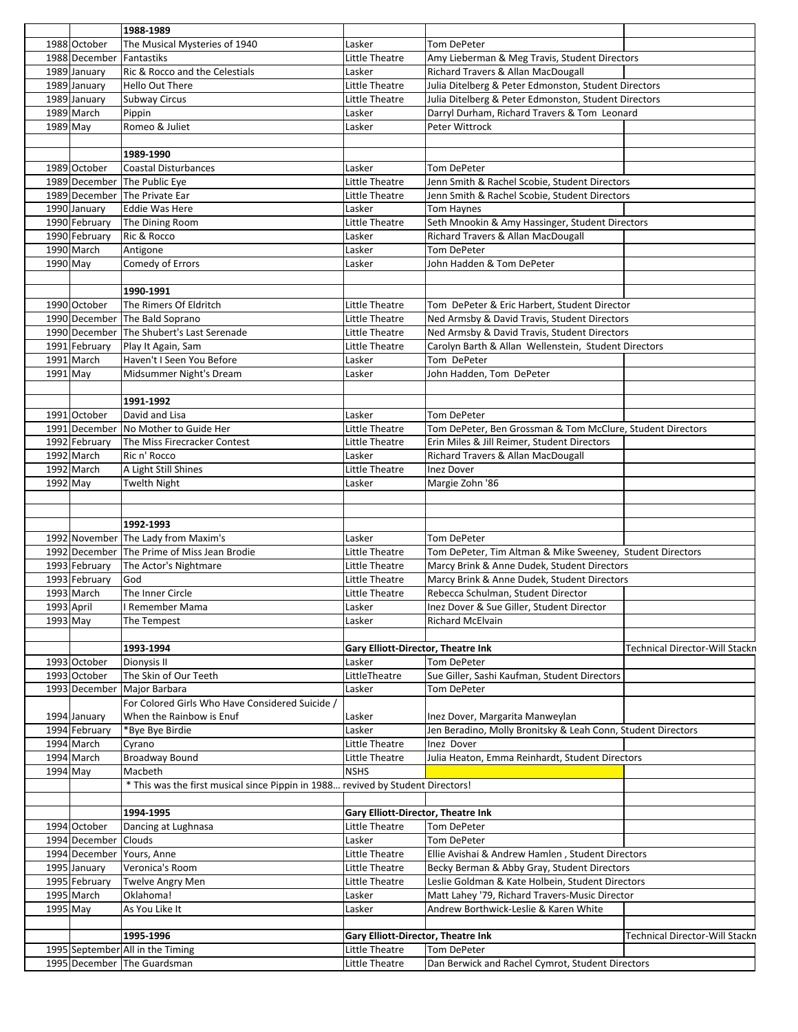|            |                          | 1988-1989                                                                       |                                    |                                                              |                                       |
|------------|--------------------------|---------------------------------------------------------------------------------|------------------------------------|--------------------------------------------------------------|---------------------------------------|
|            | 1988 October             | The Musical Mysteries of 1940                                                   | Lasker                             | <b>Tom DePeter</b>                                           |                                       |
|            | 1988 December Fantastiks |                                                                                 | Little Theatre                     | Amy Lieberman & Meg Travis, Student Directors                |                                       |
|            | 1989 January             | Ric & Rocco and the Celestials                                                  | Lasker                             | Richard Travers & Allan MacDougall                           |                                       |
|            | 1989 January             | <b>Hello Out There</b>                                                          | Little Theatre                     | Julia Ditelberg & Peter Edmonston, Student Directors         |                                       |
|            | 1989 January             | <b>Subway Circus</b>                                                            | Little Theatre                     | Julia Ditelberg & Peter Edmonston, Student Directors         |                                       |
|            | 1989 March               | Pippin                                                                          | Lasker                             | Darryl Durham, Richard Travers & Tom Leonard                 |                                       |
| $1989$ May |                          | Romeo & Juliet                                                                  | Lasker                             | Peter Wittrock                                               |                                       |
|            |                          |                                                                                 |                                    |                                                              |                                       |
|            |                          | 1989-1990                                                                       |                                    |                                                              |                                       |
|            | 1989 October             |                                                                                 |                                    |                                                              |                                       |
|            |                          | Coastal Disturbances                                                            | Lasker                             | Tom DePeter                                                  |                                       |
|            |                          | 1989 December The Public Eye                                                    | Little Theatre                     | Jenn Smith & Rachel Scobie, Student Directors                |                                       |
|            |                          | 1989 December The Private Ear                                                   | Little Theatre                     | Jenn Smith & Rachel Scobie, Student Directors                |                                       |
|            | 1990 January             | <b>Eddie Was Here</b>                                                           | Lasker                             | <b>Tom Haynes</b>                                            |                                       |
|            | 1990 February            | The Dining Room                                                                 | Little Theatre                     | Seth Mnookin & Amy Hassinger, Student Directors              |                                       |
|            | 1990 February            | Ric & Rocco                                                                     | Lasker                             | Richard Travers & Allan MacDougall                           |                                       |
|            | 1990 March               | Antigone                                                                        | Lasker                             | Tom DePeter                                                  |                                       |
| 1990 May   |                          | Comedy of Errors                                                                | Lasker                             | John Hadden & Tom DePeter                                    |                                       |
|            |                          |                                                                                 |                                    |                                                              |                                       |
|            |                          | 1990-1991                                                                       |                                    |                                                              |                                       |
|            | 1990 October             | The Rimers Of Eldritch                                                          | Little Theatre                     | Tom DePeter & Eric Harbert, Student Director                 |                                       |
|            |                          | 1990 December The Bald Soprano                                                  | Little Theatre                     | Ned Armsby & David Travis, Student Directors                 |                                       |
|            |                          | 1990 December The Shubert's Last Serenade                                       | Little Theatre                     | Ned Armsby & David Travis, Student Directors                 |                                       |
|            | 1991 February            | Play It Again, Sam                                                              | Little Theatre                     | Carolyn Barth & Allan Wellenstein, Student Directors         |                                       |
|            | 1991 March               | Haven't I Seen You Before                                                       | Lasker                             | Tom DePeter                                                  |                                       |
| $1991$ May |                          | Midsummer Night's Dream                                                         | Lasker                             | John Hadden, Tom DePeter                                     |                                       |
|            |                          |                                                                                 |                                    |                                                              |                                       |
|            |                          |                                                                                 |                                    |                                                              |                                       |
|            |                          | 1991-1992                                                                       |                                    |                                                              |                                       |
|            | 1991 October             | David and Lisa                                                                  | Lasker                             | Tom DePeter                                                  |                                       |
|            |                          | 1991 December No Mother to Guide Her                                            | Little Theatre                     | Tom DePeter, Ben Grossman & Tom McClure, Student Directors   |                                       |
|            | 1992 February            | The Miss Firecracker Contest                                                    | Little Theatre                     | Erin Miles & Jill Reimer, Student Directors                  |                                       |
|            | 1992 March               | Ric n' Rocco                                                                    | Lasker                             | Richard Travers & Allan MacDougall                           |                                       |
|            | $1992$ March             | A Light Still Shines                                                            | Little Theatre                     | Inez Dover                                                   |                                       |
| 1992 May   |                          | <b>Twelth Night</b>                                                             | Lasker                             | Margie Zohn '86                                              |                                       |
|            |                          |                                                                                 |                                    |                                                              |                                       |
|            |                          |                                                                                 |                                    |                                                              |                                       |
|            |                          | 1992-1993                                                                       |                                    |                                                              |                                       |
|            |                          | 1992 November The Lady from Maxim's                                             | Lasker                             | Tom DePeter                                                  |                                       |
|            |                          | 1992 December The Prime of Miss Jean Brodie                                     | Little Theatre                     | Tom DePeter, Tim Altman & Mike Sweeney, Student Directors    |                                       |
|            | 1993 February            | The Actor's Nightmare                                                           | Little Theatre                     | Marcy Brink & Anne Dudek, Student Directors                  |                                       |
|            | 1993 February            | lGod                                                                            | Little Theatre                     | Marcy Brink & Anne Dudek, Student Directors                  |                                       |
|            | 1993 March               | The Inner Circle                                                                | Little Theatre                     |                                                              |                                       |
|            |                          |                                                                                 |                                    | Rebecca Schulman, Student Director                           |                                       |
|            | 1993 April               | I Remember Mama                                                                 | Lasker                             | Inez Dover & Sue Giller, Student Director                    |                                       |
| 1993 May   |                          | The Tempest                                                                     | Lasker                             | <b>Richard McElvain</b>                                      |                                       |
|            |                          |                                                                                 |                                    |                                                              |                                       |
|            |                          | 1993-1994                                                                       | Gary Elliott-Director, Theatre Ink |                                                              | <b>Technical Director-Will Stackn</b> |
|            | 1993 October             | Dionysis II                                                                     | Lasker                             | Tom DePeter                                                  |                                       |
|            | 1993 October             | The Skin of Our Teeth                                                           | LittleTheatre                      | Sue Giller, Sashi Kaufman, Student Directors                 |                                       |
|            | 1993 December            | Major Barbara                                                                   | Lasker                             | Tom DePeter                                                  |                                       |
|            |                          | For Colored Girls Who Have Considered Suicide /                                 |                                    |                                                              |                                       |
|            | 1994 January             | When the Rainbow is Enuf                                                        | Lasker                             | Inez Dover, Margarita Manweylan                              |                                       |
|            | 1994 February            | *Bye Bye Birdie                                                                 | Lasker                             | Jen Beradino, Molly Bronitsky & Leah Conn, Student Directors |                                       |
|            | 1994 March               | Cyrano                                                                          | Little Theatre                     | Inez Dover                                                   |                                       |
|            | 1994 March               | <b>Broadway Bound</b>                                                           | Little Theatre                     | Julia Heaton, Emma Reinhardt, Student Directors              |                                       |
| 1994 May   |                          | Macbeth                                                                         | <b>NSHS</b>                        |                                                              |                                       |
|            |                          | * This was the first musical since Pippin in 1988 revived by Student Directors! |                                    |                                                              |                                       |
|            |                          |                                                                                 |                                    |                                                              |                                       |
|            |                          |                                                                                 |                                    |                                                              |                                       |
|            |                          |                                                                                 |                                    |                                                              |                                       |
|            |                          | 1994-1995                                                                       | Gary Elliott-Director, Theatre Ink |                                                              |                                       |
|            | 1994 October             | Dancing at Lughnasa                                                             | Little Theatre                     | Tom DePeter                                                  |                                       |
|            | 1994 December Clouds     |                                                                                 | Lasker                             | Tom DePeter                                                  |                                       |
|            |                          | 1994 December Yours, Anne                                                       | Little Theatre                     | Ellie Avishai & Andrew Hamlen, Student Directors             |                                       |
|            | 1995 January             | Veronica's Room                                                                 | Little Theatre                     | Becky Berman & Abby Gray, Student Directors                  |                                       |
|            | 1995 February            | Twelve Angry Men                                                                | Little Theatre                     | Leslie Goldman & Kate Holbein, Student Directors             |                                       |
|            | 1995 March               | Oklahoma!                                                                       | Lasker                             | Matt Lahey '79, Richard Travers-Music Director               |                                       |
| 1995 May   |                          | As You Like It                                                                  | Lasker                             | Andrew Borthwick-Leslie & Karen White                        |                                       |
|            |                          |                                                                                 |                                    |                                                              |                                       |
|            |                          | 1995-1996                                                                       | Gary Elliott-Director, Theatre Ink |                                                              |                                       |
|            |                          |                                                                                 | Little Theatre                     | Tom DePeter                                                  | Technical Director-Will Stackn        |
|            |                          | 1995 September All in the Timing<br>1995 December The Guardsman                 | Little Theatre                     | Dan Berwick and Rachel Cymrot, Student Directors             |                                       |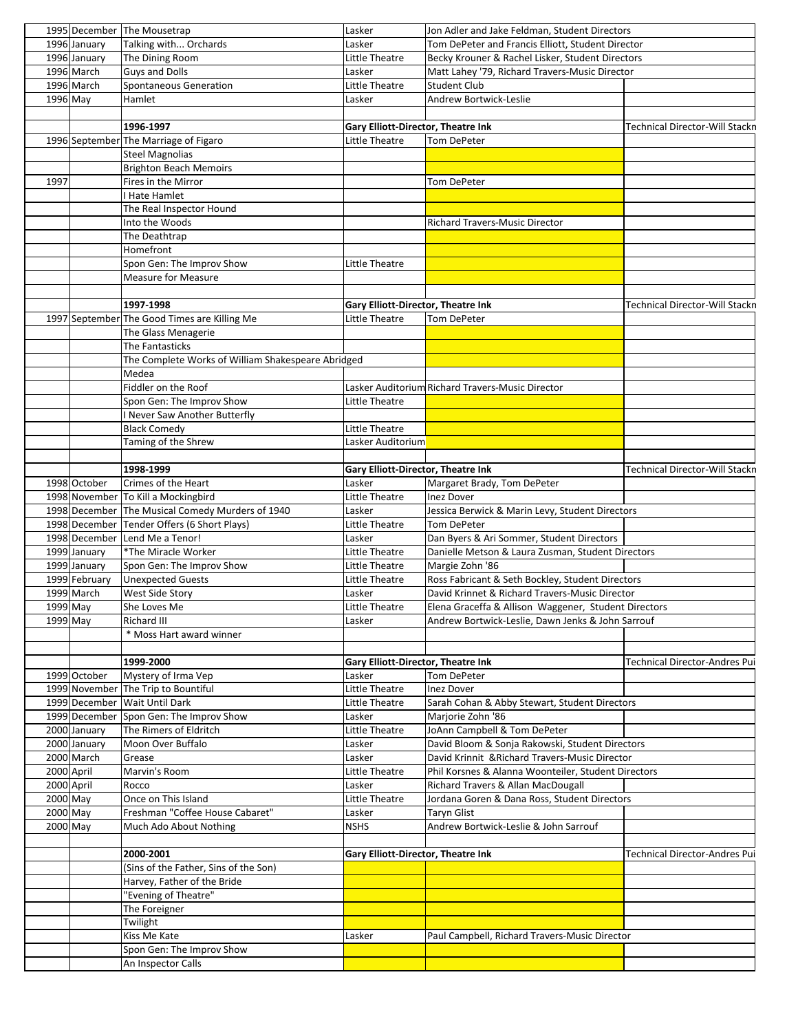|            |               | 1995 December The Mousetrap                        | Lasker                                    | Jon Adler and Jake Feldman, Student Directors        |                                |
|------------|---------------|----------------------------------------------------|-------------------------------------------|------------------------------------------------------|--------------------------------|
|            | 1996 January  | Talking with Orchards                              | Lasker                                    | Tom DePeter and Francis Elliott, Student Director    |                                |
|            | 1996 January  | The Dining Room                                    | Little Theatre                            | Becky Krouner & Rachel Lisker, Student Directors     |                                |
|            | 1996 March    | <b>Guys and Dolls</b>                              | Lasker                                    | Matt Lahey '79, Richard Travers-Music Director       |                                |
|            | 1996 March    | Spontaneous Generation                             | Little Theatre                            | Student Club                                         |                                |
| $1996$ May |               | Hamlet                                             | Lasker                                    | Andrew Bortwick-Leslie                               |                                |
|            |               |                                                    |                                           |                                                      |                                |
|            |               | 1996-1997                                          | Gary Elliott-Director, Theatre Ink        |                                                      | Technical Director-Will Stackn |
|            |               | 1996 September The Marriage of Figaro              | <b>Little Theatre</b>                     | <b>Tom DePeter</b>                                   |                                |
|            |               | <b>Steel Magnolias</b>                             |                                           |                                                      |                                |
|            |               | <b>Brighton Beach Memoirs</b>                      |                                           |                                                      |                                |
| 1997       |               | Fires in the Mirror                                |                                           |                                                      |                                |
|            |               |                                                    |                                           | Tom DePeter                                          |                                |
|            |               | I Hate Hamlet                                      |                                           |                                                      |                                |
|            |               | The Real Inspector Hound                           |                                           |                                                      |                                |
|            |               | Into the Woods                                     |                                           | Richard Travers-Music Director                       |                                |
|            |               | The Deathtrap                                      |                                           |                                                      |                                |
|            |               | Homefront                                          |                                           |                                                      |                                |
|            |               | Spon Gen: The Improv Show                          | Little Theatre                            |                                                      |                                |
|            |               | <b>Measure for Measure</b>                         |                                           |                                                      |                                |
|            |               |                                                    |                                           |                                                      |                                |
|            |               | 1997-1998                                          | <b>Gary Elliott-Director, Theatre Ink</b> |                                                      | Technical Director-Will Stackn |
|            |               | 1997 September The Good Times are Killing Me       | Little Theatre                            | Tom DePeter                                          |                                |
|            |               | The Glass Menagerie                                |                                           |                                                      |                                |
|            |               | The Fantasticks                                    |                                           |                                                      |                                |
|            |               | The Complete Works of William Shakespeare Abridged |                                           |                                                      |                                |
|            |               | Medea                                              |                                           |                                                      |                                |
|            |               | Fiddler on the Roof                                |                                           | Lasker Auditorium Richard Travers-Music Director     |                                |
|            |               | Spon Gen: The Improv Show                          | Little Theatre                            |                                                      |                                |
|            |               | <b>Never Saw Another Butterfly</b>                 |                                           |                                                      |                                |
|            |               | <b>Black Comedy</b>                                | Little Theatre                            |                                                      |                                |
|            |               |                                                    |                                           |                                                      |                                |
|            |               | Taming of the Shrew                                | Lasker Auditorium                         |                                                      |                                |
|            |               |                                                    |                                           |                                                      |                                |
|            |               | 1998-1999                                          | Gary Elliott-Director, Theatre Ink        |                                                      | Technical Director-Will Stackn |
|            | 1998 October  | Crimes of the Heart                                | Lasker                                    | Margaret Brady, Tom DePeter                          |                                |
|            |               | 1998 November To Kill a Mockingbird                | Little Theatre                            | <b>Inez Dover</b>                                    |                                |
|            |               | 1998 December The Musical Comedy Murders of 1940   | Lasker                                    | Jessica Berwick & Marin Levy, Student Directors      |                                |
|            |               | 1998 December Tender Offers (6 Short Plays)        | Little Theatre                            | <b>Tom DePeter</b>                                   |                                |
|            |               | 1998 December Lend Me a Tenor!                     | Lasker                                    | Dan Byers & Ari Sommer, Student Directors            |                                |
|            | 1999 January  | *The Miracle Worker                                | Little Theatre                            | Danielle Metson & Laura Zusman, Student Directors    |                                |
|            | 1999 January  | Spon Gen: The Improv Show                          | Little Theatre                            | Margie Zohn '86                                      |                                |
|            | 1999 February | <b>Unexpected Guests</b>                           | Little Theatre                            | Ross Fabricant & Seth Bockley, Student Directors     |                                |
|            | 1999 March    | West Side Story                                    | Lasker                                    | David Krinnet & Richard Travers-Music Director       |                                |
| 1999 May   |               | She Loves Me                                       | Little Theatre                            | Elena Graceffa & Allison Waggener, Student Directors |                                |
| 1999 May   |               | Richard III                                        | Lasker                                    | Andrew Bortwick-Leslie, Dawn Jenks & John Sarrouf    |                                |
|            |               | * Moss Hart award winner                           |                                           |                                                      |                                |
|            |               |                                                    |                                           |                                                      |                                |
|            |               |                                                    |                                           |                                                      |                                |
|            |               | 1999-2000                                          | <b>Gary Elliott-Director, Theatre Ink</b> |                                                      | Technical Director-Andres Pui  |
|            | 1999 October  | Mystery of Irma Vep                                | Lasker                                    | Tom DePeter                                          |                                |
|            |               | 1999 November The Trip to Bountiful                | Little Theatre                            | Inez Dover                                           |                                |
|            |               | 1999 December Wait Until Dark                      | Little Theatre                            | Sarah Cohan & Abby Stewart, Student Directors        |                                |
|            |               | 1999 December Spon Gen: The Improv Show            | Lasker                                    | Marjorie Zohn '86                                    |                                |
|            | 2000 January  | The Rimers of Eldritch                             | Little Theatre                            | JoAnn Campbell & Tom DePeter                         |                                |
|            | 2000 January  | Moon Over Buffalo                                  | Lasker                                    | David Bloom & Sonja Rakowski, Student Directors      |                                |
|            | 2000 March    | Grease                                             | Lasker                                    | David Krinnit & Richard Travers-Music Director       |                                |
| 2000 April |               | Marvin's Room                                      | Little Theatre                            | Phil Korsnes & Alanna Woonteiler, Student Directors  |                                |
| 2000 April |               | Rocco                                              | Lasker                                    | Richard Travers & Allan MacDougall                   |                                |
| 2000 May   |               | Once on This Island                                | Little Theatre                            | Jordana Goren & Dana Ross, Student Directors         |                                |
| 2000 May   |               | Freshman "Coffee House Cabaret"                    | Lasker                                    | Taryn Glist                                          |                                |
| 2000 May   |               | Much Ado About Nothing                             | <b>NSHS</b>                               | Andrew Bortwick-Leslie & John Sarrouf                |                                |
|            |               |                                                    |                                           |                                                      |                                |
|            |               | 2000-2001                                          |                                           |                                                      |                                |
|            |               |                                                    | Gary Elliott-Director, Theatre Ink        |                                                      | Technical Director-Andres Pui  |
|            |               | (Sins of the Father, Sins of the Son)              |                                           |                                                      |                                |
|            |               | Harvey, Father of the Bride                        |                                           |                                                      |                                |
|            |               | "Evening of Theatre"                               |                                           |                                                      |                                |
|            |               | The Foreigner                                      |                                           |                                                      |                                |
|            |               | Twilight                                           |                                           |                                                      |                                |
|            |               | Kiss Me Kate                                       | Lasker                                    | Paul Campbell, Richard Travers-Music Director        |                                |
|            |               | Spon Gen: The Improv Show                          |                                           |                                                      |                                |
|            |               | An Inspector Calls                                 |                                           |                                                      |                                |
|            |               |                                                    |                                           |                                                      |                                |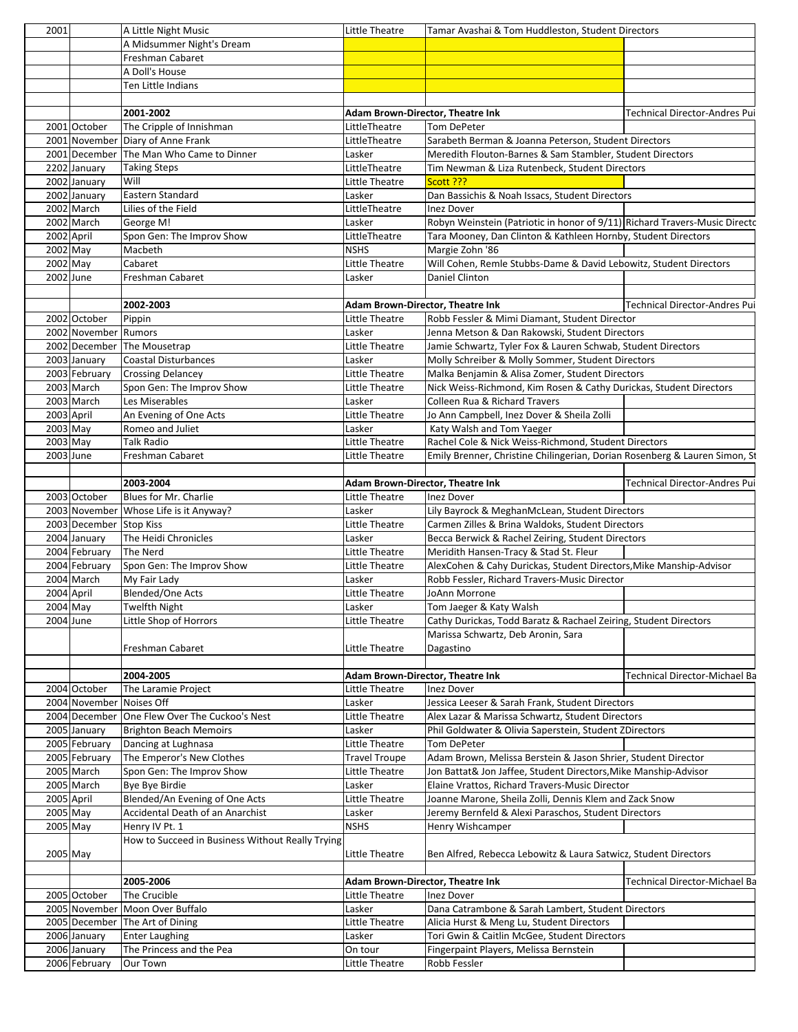| 2001       |                              | A Little Night Music                             | Little Theatre                   | Tamar Avashai & Tom Huddleston, Student Directors                                                                                |                                      |
|------------|------------------------------|--------------------------------------------------|----------------------------------|----------------------------------------------------------------------------------------------------------------------------------|--------------------------------------|
|            |                              | A Midsummer Night's Dream                        |                                  |                                                                                                                                  |                                      |
|            |                              | Freshman Cabaret                                 |                                  |                                                                                                                                  |                                      |
|            |                              | A Doll's House                                   |                                  |                                                                                                                                  |                                      |
|            |                              | Ten Little Indians                               |                                  |                                                                                                                                  |                                      |
|            |                              |                                                  |                                  |                                                                                                                                  |                                      |
|            |                              | 2001-2002                                        | Adam Brown-Director, Theatre Ink |                                                                                                                                  | Technical Director-Andres Pui        |
|            | 2001 October                 | The Cripple of Innishman                         | LittleTheatre                    | Tom DePeter                                                                                                                      |                                      |
|            |                              | 2001 November Diary of Anne Frank                | LittleTheatre                    | Sarabeth Berman & Joanna Peterson, Student Directors                                                                             |                                      |
|            |                              | 2001 December The Man Who Came to Dinner         | Lasker                           | Meredith Flouton-Barnes & Sam Stambler, Student Directors                                                                        |                                      |
|            | 2202 January                 | <b>Taking Steps</b><br>Will                      | LittleTheatre<br>Little Theatre  | Tim Newman & Liza Rutenbeck, Student Directors                                                                                   |                                      |
|            | 2002 January<br>2002 January | Eastern Standard                                 | Lasker                           | Scott ???<br>Dan Bassichis & Noah Issacs, Student Directors                                                                      |                                      |
|            | 2002 March                   | Lilies of the Field                              | LittleTheatre                    | <b>Inez Dover</b>                                                                                                                |                                      |
|            | 2002 March                   | George M!                                        | Lasker                           | Robyn Weinstein (Patriotic in honor of 9/11) Richard Travers-Music Directc                                                       |                                      |
| 2002 April |                              | Spon Gen: The Improv Show                        | LittleTheatre                    | Tara Mooney, Dan Clinton & Kathleen Hornby, Student Directors                                                                    |                                      |
| 2002 May   |                              | Macbeth                                          | <b>NSHS</b>                      | Margie Zohn '86                                                                                                                  |                                      |
| 2002 May   |                              | Cabaret                                          | Little Theatre                   | Will Cohen, Remle Stubbs-Dame & David Lebowitz, Student Directors                                                                |                                      |
| 2002 June  |                              | Freshman Cabaret                                 | Lasker                           | Daniel Clinton                                                                                                                   |                                      |
|            |                              |                                                  |                                  |                                                                                                                                  |                                      |
|            |                              | 2002-2003                                        | Adam Brown-Director, Theatre Ink |                                                                                                                                  | <b>Technical Director-Andres Pui</b> |
|            | 2002 October                 | Pippin                                           | Little Theatre                   | Robb Fessler & Mimi Diamant, Student Director                                                                                    |                                      |
|            | 2002 November Rumors         |                                                  | Lasker                           | Jenna Metson & Dan Rakowski, Student Directors                                                                                   |                                      |
|            |                              | 2002 December The Mousetrap                      | Little Theatre                   | Jamie Schwartz, Tyler Fox & Lauren Schwab, Student Directors                                                                     |                                      |
|            | 2003 January                 | Coastal Disturbances                             | Lasker                           | Molly Schreiber & Molly Sommer, Student Directors                                                                                |                                      |
|            | 2003 February                | <b>Crossing Delancey</b>                         | Little Theatre                   | Malka Benjamin & Alisa Zomer, Student Directors                                                                                  |                                      |
|            | 2003 March                   | Spon Gen: The Improv Show                        | Little Theatre                   | Nick Weiss-Richmond, Kim Rosen & Cathy Durickas, Student Directors                                                               |                                      |
|            | 2003 March                   | Les Miserables                                   | Lasker                           | <b>Colleen Rua &amp; Richard Travers</b>                                                                                         |                                      |
| 2003 April |                              | An Evening of One Acts                           | Little Theatre                   | Jo Ann Campbell, Inez Dover & Sheila Zolli                                                                                       |                                      |
| $2003$ May |                              | Romeo and Juliet                                 | Lasker                           | Katy Walsh and Tom Yaeger                                                                                                        |                                      |
| 2003 May   |                              | Talk Radio                                       | <b>Little Theatre</b>            | Rachel Cole & Nick Weiss-Richmond, Student Directors                                                                             |                                      |
| 2003 June  |                              | Freshman Cabaret                                 | Little Theatre                   | Emily Brenner, Christine Chilingerian, Dorian Rosenberg & Lauren Simon, St                                                       |                                      |
|            |                              |                                                  |                                  |                                                                                                                                  |                                      |
|            |                              | 2003-2004                                        | Adam Brown-Director, Theatre Ink |                                                                                                                                  | Technical Director-Andres Pui        |
|            | 2003 October                 | Blues for Mr. Charlie                            | Little Theatre                   | <b>Inez Dover</b>                                                                                                                |                                      |
|            |                              | 2003 November   Whose Life is it Anyway?         | Lasker                           | Lily Bayrock & MeghanMcLean, Student Directors                                                                                   |                                      |
|            | 2003 December Stop Kiss      |                                                  | Little Theatre                   | Carmen Zilles & Brina Waldoks, Student Directors                                                                                 |                                      |
|            | 2004 January                 | The Heidi Chronicles                             | Lasker                           | Becca Berwick & Rachel Zeiring, Student Directors                                                                                |                                      |
|            | 2004 February                | The Nerd                                         | Little Theatre                   | Meridith Hansen-Tracy & Stad St. Fleur                                                                                           |                                      |
|            | 2004 February                | Spon Gen: The Improv Show                        | Little Theatre                   | AlexCohen & Cahy Durickas, Student Directors, Mike Manship-Advisor                                                               |                                      |
|            | 2004 March                   | My Fair Lady                                     | Lasker                           | Robb Fessler, Richard Travers-Music Director                                                                                     |                                      |
| 2004 April |                              | <b>Blended/One Acts</b>                          | Little Theatre                   | JoAnn Morrone                                                                                                                    |                                      |
| $2004$ May |                              | <b>Twelfth Night</b>                             | Lasker                           | Tom Jaeger & Katy Walsh                                                                                                          |                                      |
| 2004 June  |                              | Little Shop of Horrors                           | Little Theatre                   | Cathy Durickas, Todd Baratz & Rachael Zeiring, Student Directors                                                                 |                                      |
|            |                              |                                                  |                                  | Marissa Schwartz, Deb Aronin, Sara                                                                                               |                                      |
|            |                              | Freshman Cabaret                                 | Little Theatre                   | Dagastino                                                                                                                        |                                      |
|            |                              |                                                  |                                  |                                                                                                                                  |                                      |
|            |                              | 2004-2005                                        | Adam Brown-Director, Theatre Ink |                                                                                                                                  | Technical Director-Michael Ba        |
|            | 2004 October                 | The Laramie Project                              | Little Theatre                   | Inez Dover                                                                                                                       |                                      |
|            | 2004 November                | Noises Off                                       | Lasker                           | Jessica Leeser & Sarah Frank, Student Directors                                                                                  |                                      |
|            | 2004 December                | One Flew Over The Cuckoo's Nest                  | Little Theatre                   | Alex Lazar & Marissa Schwartz, Student Directors                                                                                 |                                      |
|            | 2005 January                 | <b>Brighton Beach Memoirs</b>                    | Lasker<br>Little Theatre         | Phil Goldwater & Olivia Saperstein, Student ZDirectors<br><b>Tom DePeter</b>                                                     |                                      |
|            | 2005 February                | Dancing at Lughnasa<br>The Emperor's New Clothes | <b>Travel Troupe</b>             |                                                                                                                                  |                                      |
|            | 2005 February<br>2005 March  | Spon Gen: The Improv Show                        | Little Theatre                   | Adam Brown, Melissa Berstein & Jason Shrier, Student Director<br>Jon Battat& Jon Jaffee, Student Directors, Mike Manship-Advisor |                                      |
|            | 2005 March                   | Bye Bye Birdie                                   | Lasker                           | Elaine Vrattos, Richard Travers-Music Director                                                                                   |                                      |
| 2005 April |                              | Blended/An Evening of One Acts                   | Little Theatre                   | Joanne Marone, Sheila Zolli, Dennis Klem and Zack Snow                                                                           |                                      |
|            |                              | Accidental Death of an Anarchist                 |                                  |                                                                                                                                  |                                      |
| 2005 May   |                              | Henry IV Pt. 1                                   | Lasker<br><b>NSHS</b>            | Jeremy Bernfeld & Alexi Paraschos, Student Directors                                                                             |                                      |
| 2005 May   |                              | How to Succeed in Business Without Really Trying |                                  | Henry Wishcamper                                                                                                                 |                                      |
| 2005 May   |                              |                                                  | <b>Little Theatre</b>            | Ben Alfred, Rebecca Lebowitz & Laura Satwicz, Student Directors                                                                  |                                      |
|            |                              |                                                  |                                  |                                                                                                                                  |                                      |
|            |                              | 2005-2006                                        | Adam Brown-Director, Theatre Ink |                                                                                                                                  | Technical Director-Michael Ba        |
|            | 2005 October                 | The Crucible                                     | Little Theatre                   | <b>Inez Dover</b>                                                                                                                |                                      |
|            |                              | 2005 November Moon Over Buffalo                  | Lasker                           | Dana Catrambone & Sarah Lambert, Student Directors                                                                               |                                      |
|            |                              | 2005 December The Art of Dining                  | Little Theatre                   | Alicia Hurst & Meng Lu, Student Directors                                                                                        |                                      |
|            | 2006 January                 | <b>Enter Laughing</b>                            | Lasker                           | Tori Gwin & Caitlin McGee, Student Directors                                                                                     |                                      |
|            | 2006 January                 | The Princess and the Pea                         | On tour                          | Fingerpaint Players, Melissa Bernstein                                                                                           |                                      |
|            | 2006 February                | Our Town                                         | Little Theatre                   | Robb Fessler                                                                                                                     |                                      |
|            |                              |                                                  |                                  |                                                                                                                                  |                                      |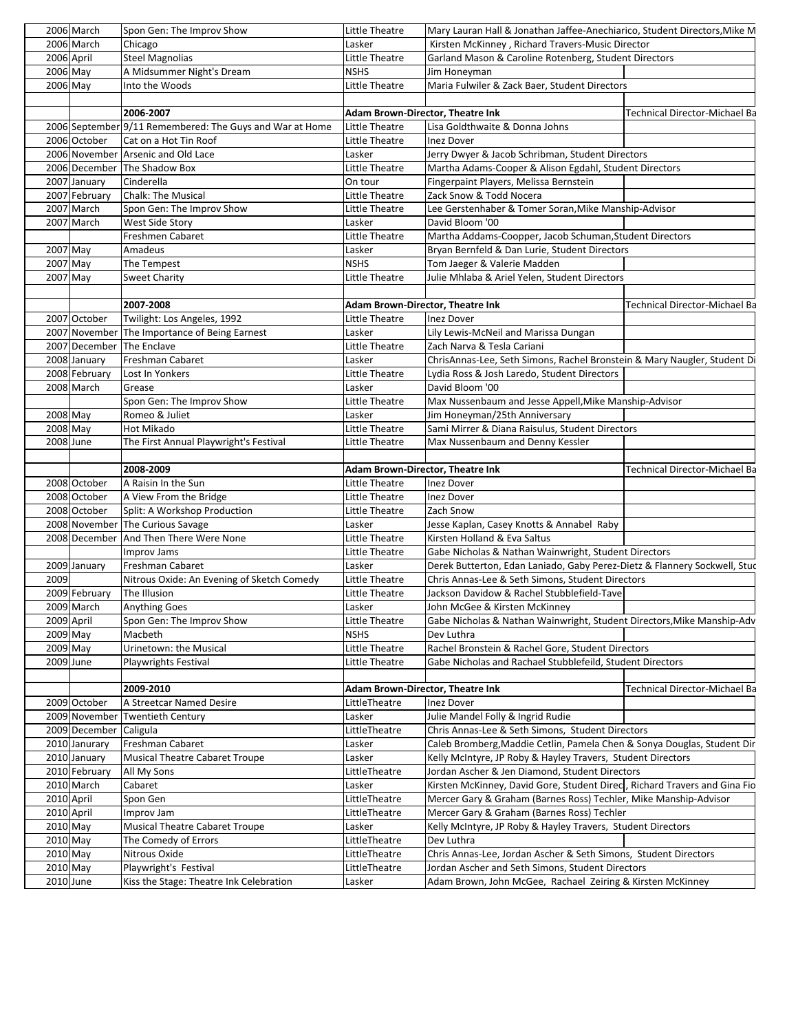|                         | 2006 March    | Spon Gen: The Improv Show                                        | Little Theatre                          | Mary Lauran Hall & Jonathan Jaffee-Anechiarico, Student Directors, Mike M                                      |                                      |
|-------------------------|---------------|------------------------------------------------------------------|-----------------------------------------|----------------------------------------------------------------------------------------------------------------|--------------------------------------|
|                         | 2006 March    | Chicago                                                          | Lasker                                  | Kirsten McKinney, Richard Travers-Music Director                                                               |                                      |
| 2006 April              |               | <b>Steel Magnolias</b>                                           | Little Theatre                          | Garland Mason & Caroline Rotenberg, Student Directors                                                          |                                      |
| 2006 May                |               | A Midsummer Night's Dream                                        | <b>NSHS</b>                             | Jim Honeyman                                                                                                   |                                      |
| $2006$ May              |               | Into the Woods                                                   | Little Theatre                          | Maria Fulwiler & Zack Baer, Student Directors                                                                  |                                      |
|                         |               |                                                                  |                                         |                                                                                                                |                                      |
|                         |               | 2006-2007                                                        | Adam Brown-Director, Theatre Ink        |                                                                                                                | Technical Director-Michael Ba        |
|                         |               | 2006 September 9/11 Remembered: The Guys and War at Home         | Little Theatre                          | Lisa Goldthwaite & Donna Johns                                                                                 |                                      |
|                         | 2006 October  | Cat on a Hot Tin Roof                                            | Little Theatre                          | <b>Inez Dover</b>                                                                                              |                                      |
|                         |               | 2006 November Arsenic and Old Lace                               | Lasker                                  | Jerry Dwyer & Jacob Schribman, Student Directors                                                               |                                      |
|                         |               | 2006 December The Shadow Box                                     | Little Theatre                          | Martha Adams-Cooper & Alison Egdahl, Student Directors                                                         |                                      |
|                         | 2007 January  | Cinderella                                                       | On tour                                 | Fingerpaint Players, Melissa Bernstein                                                                         |                                      |
|                         | 2007 February | <b>Chalk: The Musical</b>                                        | Little Theatre                          | Zack Snow & Todd Nocera                                                                                        |                                      |
|                         | 2007 March    | Spon Gen: The Improv Show                                        | Little Theatre                          | Lee Gerstenhaber & Tomer Soran, Mike Manship-Advisor                                                           |                                      |
|                         | 2007 March    | West Side Story                                                  | Lasker                                  | David Bloom '00                                                                                                |                                      |
|                         |               | Freshmen Cabaret                                                 | Little Theatre                          | Martha Addams-Coopper, Jacob Schuman, Student Directors                                                        |                                      |
| 2007 May                |               | Amadeus                                                          | Lasker                                  | Bryan Bernfeld & Dan Lurie, Student Directors                                                                  |                                      |
| 2007 May                |               | The Tempest                                                      | <b>NSHS</b>                             | Tom Jaeger & Valerie Madden                                                                                    |                                      |
| 2007 May                |               | <b>Sweet Charity</b>                                             | Little Theatre                          | Julie Mhlaba & Ariel Yelen, Student Directors                                                                  |                                      |
|                         |               |                                                                  |                                         |                                                                                                                |                                      |
|                         |               | 2007-2008                                                        | Adam Brown-Director, Theatre Ink        |                                                                                                                | <b>Technical Director-Michael Ba</b> |
|                         | 2007 October  | Twilight: Los Angeles, 1992                                      | Little Theatre                          | <b>Inez Dover</b>                                                                                              |                                      |
|                         |               | 2007 November The Importance of Being Earnest                    | Lasker                                  | Lily Lewis-McNeil and Marissa Dungan                                                                           |                                      |
|                         | 2007 December | The Enclave                                                      | Little Theatre                          | Zach Narva & Tesla Cariani                                                                                     |                                      |
|                         | 2008 January  | Freshman Cabaret                                                 | Lasker                                  | ChrisAnnas-Lee, Seth Simons, Rachel Bronstein & Mary Naugler, Student Di                                       |                                      |
|                         | 2008 February | Lost In Yonkers                                                  | Little Theatre                          | Lydia Ross & Josh Laredo, Student Directors                                                                    |                                      |
|                         | 2008 March    | Grease                                                           | Lasker                                  | David Bloom '00                                                                                                |                                      |
|                         |               | Spon Gen: The Improv Show                                        | Little Theatre                          | Max Nussenbaum and Jesse Appell, Mike Manship-Advisor                                                          |                                      |
| 2008 May                |               | Romeo & Juliet                                                   | Lasker                                  | Jim Honeyman/25th Anniversary                                                                                  |                                      |
| 2008 May                |               | Hot Mikado                                                       | Little Theatre                          | Sami Mirrer & Diana Raisulus, Student Directors                                                                |                                      |
| 2008 June               |               | The First Annual Playwright's Festival                           | Little Theatre                          | Max Nussenbaum and Denny Kessler                                                                               |                                      |
|                         |               |                                                                  |                                         |                                                                                                                |                                      |
|                         |               | 2008-2009                                                        | Adam Brown-Director, Theatre Ink        |                                                                                                                | Technical Director-Michael Ba        |
|                         |               |                                                                  |                                         |                                                                                                                |                                      |
|                         |               |                                                                  |                                         |                                                                                                                |                                      |
|                         | 2008 October  | A Raisin In the Sun                                              | Little Theatre                          | <b>Inez Dover</b>                                                                                              |                                      |
|                         | 2008 October  | A View From the Bridge                                           | Little Theatre                          | <b>Inez Dover</b>                                                                                              |                                      |
|                         | 2008 October  | Split: A Workshop Production                                     | Little Theatre                          | Zach Snow                                                                                                      |                                      |
|                         |               | 2008 November The Curious Savage                                 | Lasker                                  | Jesse Kaplan, Casey Knotts & Annabel Raby                                                                      |                                      |
|                         | 2008 December | And Then There Were None                                         | Little Theatre                          | Kirsten Holland & Eva Saltus                                                                                   |                                      |
|                         |               | Improv Jams                                                      | Little Theatre                          | Gabe Nicholas & Nathan Wainwright, Student Directors                                                           |                                      |
|                         | 2009 January  | Freshman Cabaret                                                 | Lasker                                  | Derek Butterton, Edan Laniado, Gaby Perez-Dietz & Flannery Sockwell, Stuc                                      |                                      |
| 2009                    |               | Nitrous Oxide: An Evening of Sketch Comedy                       | Little Theatre                          | Chris Annas-Lee & Seth Simons, Student Directors                                                               |                                      |
|                         | 2009 February | The Illusion                                                     | Little Theatre                          | Jackson Davidow & Rachel Stubblefield-Tave                                                                     |                                      |
|                         | 2009 March    | <b>Anything Goes</b>                                             | Lasker                                  | John McGee & Kirsten McKinney                                                                                  |                                      |
| 2009 April              |               | Spon Gen: The Improv Show<br>Macbeth                             | Little Theatre<br><b>NSHS</b>           | Gabe Nicholas & Nathan Wainwright, Student Directors, Mike Manship-Adv<br>Dev Luthra                           |                                      |
| $2009$ May              |               |                                                                  |                                         |                                                                                                                |                                      |
| 2009 May                |               | Urinetown: the Musical                                           | Little Theatre                          | Rachel Bronstein & Rachel Gore, Student Directors                                                              |                                      |
| 2009 June               |               | <b>Playwrights Festival</b>                                      | Little Theatre                          | Gabe Nicholas and Rachael Stubblefeild, Student Directors                                                      |                                      |
|                         |               |                                                                  |                                         |                                                                                                                |                                      |
|                         |               | 2009-2010                                                        | <b>Adam Brown-Director, Theatre Ink</b> |                                                                                                                |                                      |
|                         | 2009 October  | A Streetcar Named Desire                                         | LittleTheatre                           | Inez Dover                                                                                                     |                                      |
|                         |               | 2009 November Twentieth Century                                  | Lasker                                  | Julie Mandel Folly & Ingrid Rudie                                                                              |                                      |
|                         | 2009 December | Caligula                                                         | LittleTheatre                           | Chris Annas-Lee & Seth Simons, Student Directors                                                               |                                      |
|                         | 2010 Janurary | Freshman Cabaret                                                 | Lasker                                  | Caleb Bromberg, Maddie Cetlin, Pamela Chen & Sonya Douglas, Student Dir                                        |                                      |
|                         | 2010 January  | Musical Theatre Cabaret Troupe                                   | Lasker                                  | Kelly McIntyre, JP Roby & Hayley Travers, Student Directors                                                    |                                      |
|                         | 2010 February | All My Sons                                                      | LittleTheatre                           | Jordan Ascher & Jen Diamond, Student Directors                                                                 |                                      |
|                         | 2010 March    | Cabaret                                                          | Lasker                                  | Kirsten McKinney, David Gore, Student Direc, Richard Travers and Gina Fio                                      |                                      |
| 2010 April              |               | Spon Gen                                                         | LittleTheatre                           | Mercer Gary & Graham (Barnes Ross) Techler, Mike Manship-Advisor                                               |                                      |
| 2010 April              |               | Improv Jam                                                       | LittleTheatre                           | Mercer Gary & Graham (Barnes Ross) Techler                                                                     |                                      |
| 2010 May                |               | <b>Musical Theatre Cabaret Troupe</b>                            | Lasker                                  | Kelly McIntyre, JP Roby & Hayley Travers, Student Directors                                                    |                                      |
| $2010$ May              |               | The Comedy of Errors                                             | LittleTheatre                           | Dev Luthra                                                                                                     |                                      |
| $2010$ May              |               | Nitrous Oxide                                                    | LittleTheatre                           | Chris Annas-Lee, Jordan Ascher & Seth Simons, Student Directors                                                | Technical Director-Michael Ba        |
| $2010$ May<br>2010 June |               | Playwright's Festival<br>Kiss the Stage: Theatre Ink Celebration | LittleTheatre<br>Lasker                 | Jordan Ascher and Seth Simons, Student Directors<br>Adam Brown, John McGee, Rachael Zeiring & Kirsten McKinney |                                      |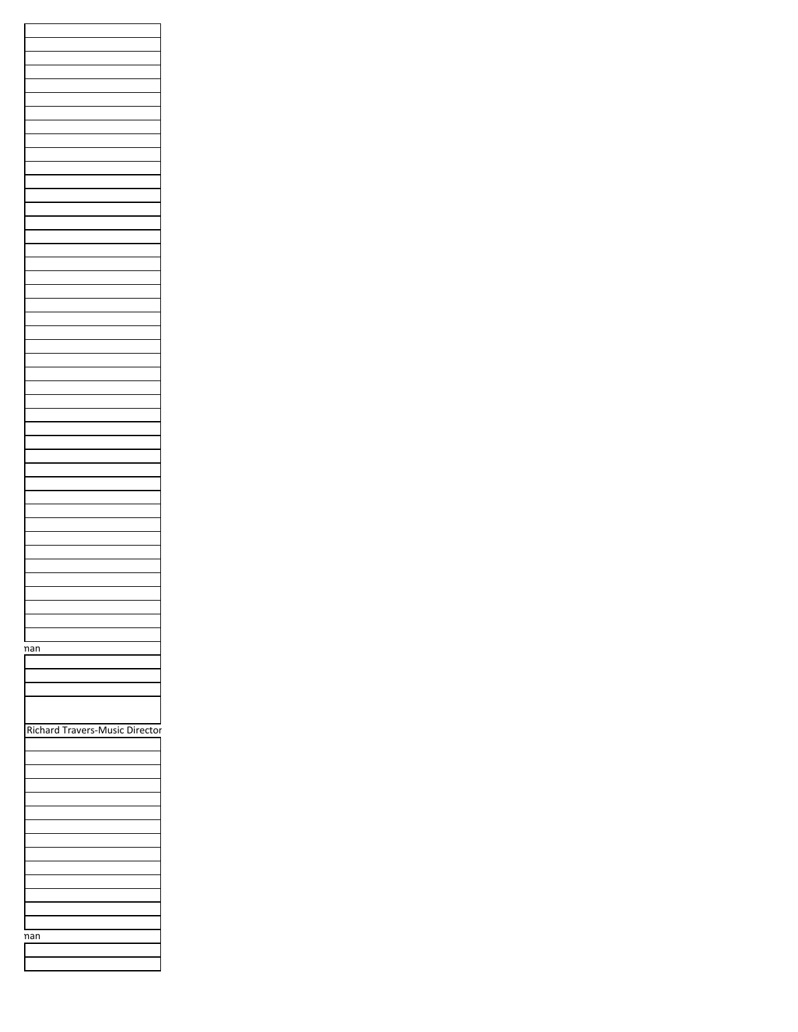| nan                            |
|--------------------------------|
|                                |
|                                |
|                                |
|                                |
|                                |
|                                |
|                                |
|                                |
|                                |
|                                |
|                                |
|                                |
|                                |
|                                |
|                                |
|                                |
|                                |
|                                |
|                                |
|                                |
|                                |
|                                |
|                                |
|                                |
|                                |
|                                |
|                                |
|                                |
|                                |
|                                |
|                                |
|                                |
|                                |
|                                |
| Richard Travers-Music Director |
| nan                            |
|                                |
|                                |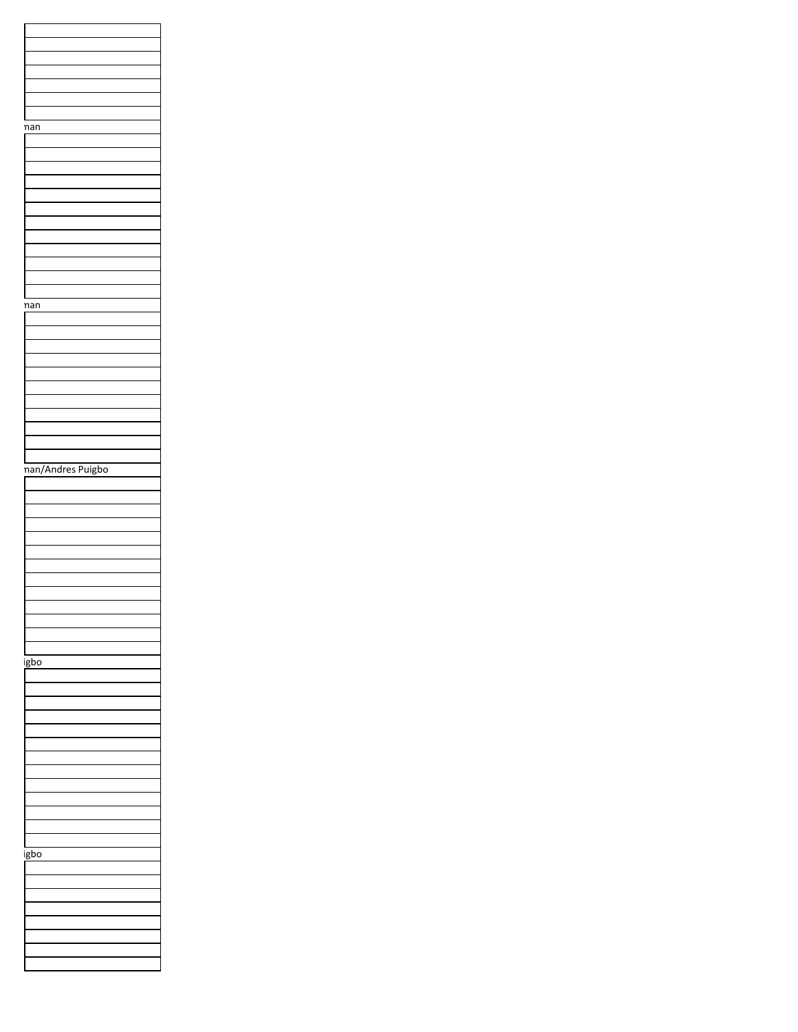| nan               |
|-------------------|
|                   |
|                   |
|                   |
|                   |
|                   |
|                   |
|                   |
|                   |
|                   |
|                   |
|                   |
|                   |
|                   |
|                   |
|                   |
| nan               |
|                   |
|                   |
|                   |
|                   |
|                   |
|                   |
|                   |
|                   |
|                   |
|                   |
|                   |
|                   |
|                   |
|                   |
| nan/Andres Puigbo |
|                   |
|                   |
|                   |
|                   |
|                   |
|                   |
|                   |
|                   |
|                   |
|                   |
|                   |
|                   |
|                   |
|                   |
|                   |
|                   |
|                   |
|                   |
| igbo              |
|                   |
|                   |
|                   |
|                   |
|                   |
|                   |
|                   |
|                   |
|                   |
|                   |
|                   |
|                   |
|                   |
|                   |
|                   |
|                   |
| igbo              |
|                   |
|                   |
|                   |
|                   |
|                   |
|                   |
|                   |
|                   |
|                   |
|                   |
|                   |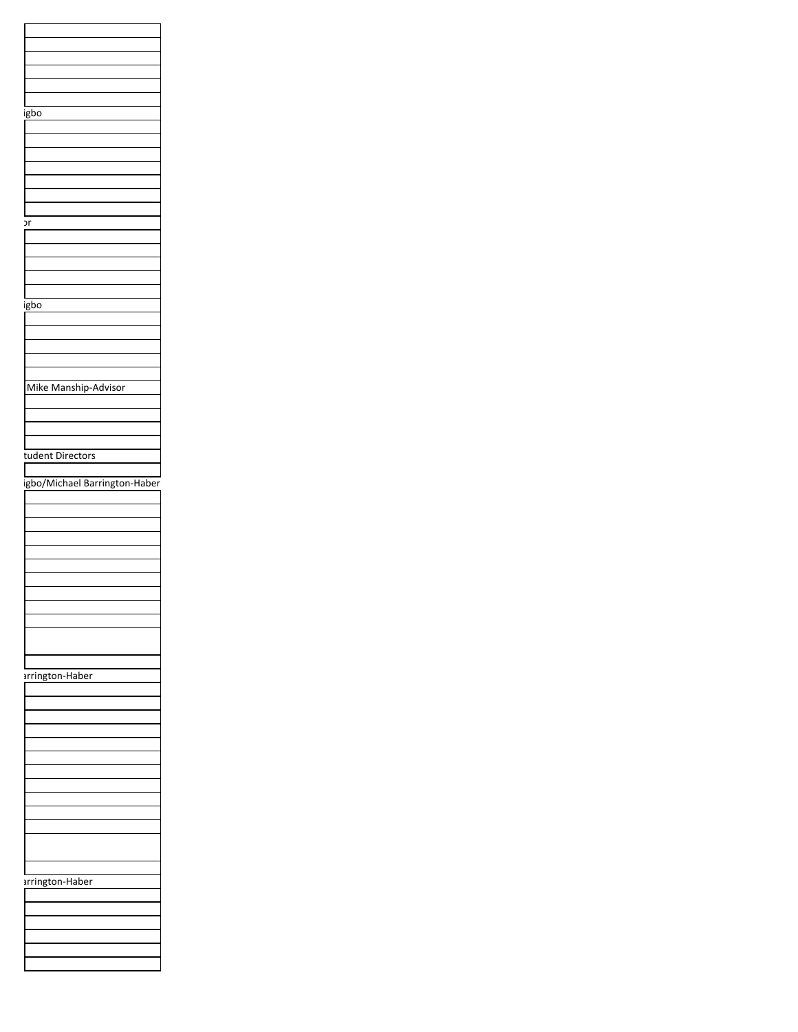| igbo                          |
|-------------------------------|
|                               |
|                               |
|                               |
|                               |
|                               |
|                               |
|                               |
|                               |
| эr                            |
|                               |
|                               |
|                               |
|                               |
|                               |
| igbo                          |
|                               |
|                               |
|                               |
|                               |
|                               |
|                               |
| Mike Manship-Advisor          |
|                               |
|                               |
|                               |
|                               |
| tudent Directors              |
|                               |
| igbo/Michael Barrington-Haber |
|                               |
|                               |
|                               |
|                               |
|                               |
|                               |
|                               |
|                               |
|                               |
|                               |
|                               |
|                               |
|                               |
|                               |
|                               |
|                               |
| arrington-Haber               |
|                               |
|                               |
|                               |
|                               |
|                               |
|                               |
|                               |
|                               |
|                               |
|                               |
|                               |
|                               |
|                               |
|                               |
|                               |
| arrington-Haber               |
|                               |
|                               |
|                               |
|                               |
|                               |